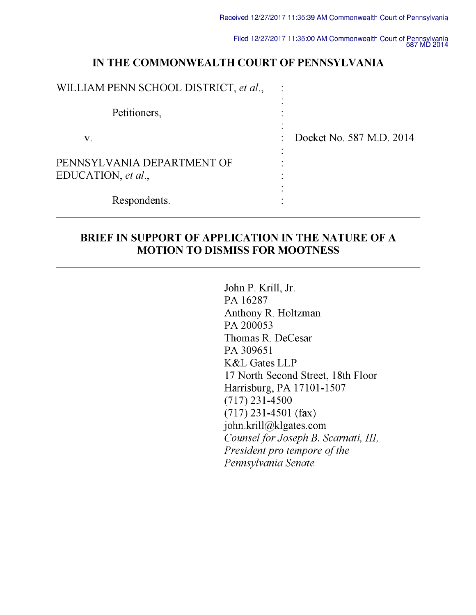Filed 12/27/2017 11:35:00 AM Commonwealth Court of Pennsylvania 587 Mu <sup>2014</sup>

# IN THE COMMONWEALTH COURT OF PENNSYLVANIA

| WILLIAM PENN SCHOOL DISTRICT, et al.,            |           |                          |
|--------------------------------------------------|-----------|--------------------------|
| Petitioners,                                     | $\bullet$ |                          |
| V.                                               | ٠         | Docket No. 587 M.D. 2014 |
| PENNSYLVANIA DEPARTMENT OF<br>EDUCATION, et al., | $\bullet$ |                          |
| Respondents.                                     |           |                          |

## BRIEF IN SUPPORT OF APPLICATION IN THE NATURE OF A MOTION TO DISMISS FOR MOOTNESS

John P. Krill, Jr. PA 16287 Anthony R. Holtzman PA 200053 Thomas R. DeCesar PA 309651 K&L Gates LLP 17 North Second Street, 18th Floor Harrisburg, PA 17101-1507 (717) 231-4500 (717) 231-4501 (fax) john.krill@klgates.com Counsel for Joseph B. Scarnati, III, President pro tempore of the Pennsylvania Senate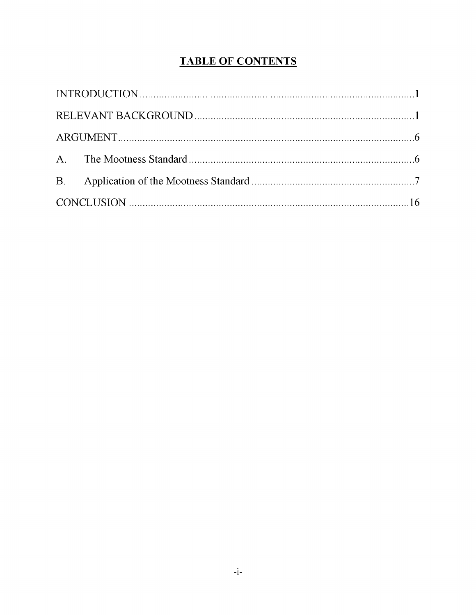# TABLE OF CONTENTS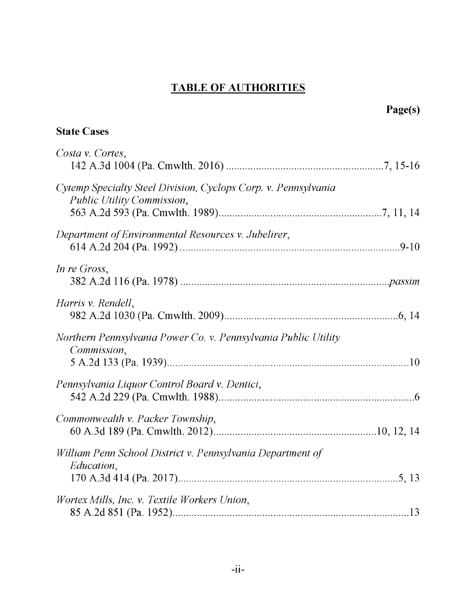# TABLE OF AUTHORITIES

# State Cases

| Costa v. Cortes,                                                                             |  |
|----------------------------------------------------------------------------------------------|--|
| Cytemp Specialty Steel Division, Cyclops Corp. v. Pennsylvania<br>Public Utility Commission, |  |
| Department of Environmental Resources v. Jubelirer,                                          |  |
| In re Gross,                                                                                 |  |
| Harris v. Rendell,                                                                           |  |
| Northern Pennsylvania Power Co. v. Pennsylvania Public Utility<br>Commission,                |  |
| Pennsylvania Liquor Control Board v. Dentici,                                                |  |
| Commonwealth v. Packer Township,                                                             |  |
| William Penn School District v. Pennsylvania Department of<br>Education,                     |  |
| Wortex Mills, Inc. v. Textile Workers Union,                                                 |  |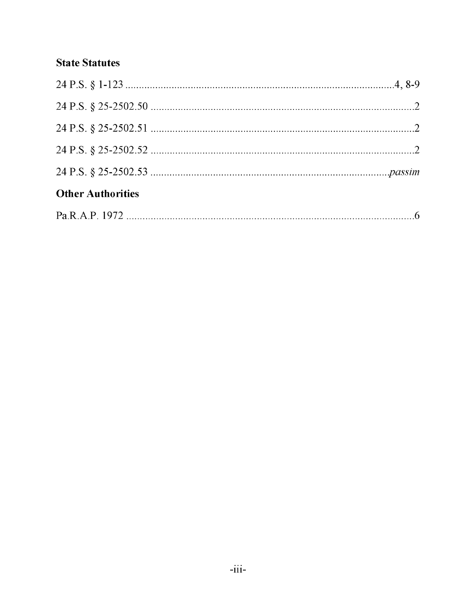# State Statutes

| <b>Other Authorities</b> |  |
|--------------------------|--|
|                          |  |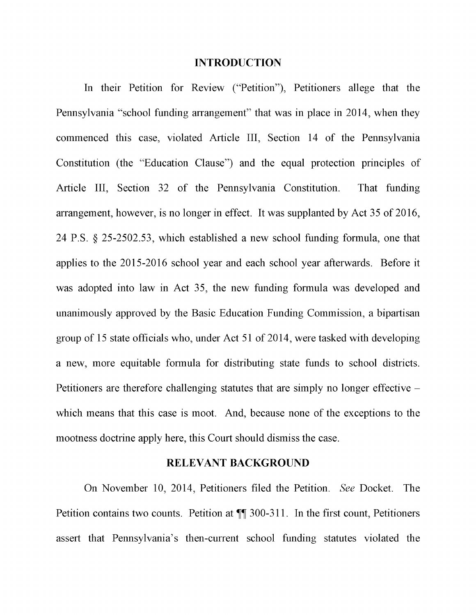#### INTRODUCTION

In their Petition for Review ("Petition"), Petitioners allege that the Pennsylvania "school funding arrangement" that was in place in 2014, when they commenced this case, violated Article III, Section 14 of the Pennsylvania Constitution (the "Education Clause") and the equal protection principles of Article III, Section 32 of the Pennsylvania Constitution. That funding arrangement, however, is no longer in effect. It was supplanted by Act 35 of 2016, 24 P.S. § 25-2502.53, which established a new school funding formula, one that applies to the 2015-2016 school year and each school year afterwards. Before it was adopted into law in Act 35, the new funding formula was developed and unanimously approved by the Basic Education Funding Commission, a bipartisan group of 15 state officials who, under Act 51 of 2014, were tasked with developing a new, more equitable formula for distributing state funds to school districts. Petitioners are therefore challenging statutes that are simply no longer effective – which means that this case is moot. And, because none of the exceptions to the mootness doctrine apply here, this Court should dismiss the case.

### RELEVANT BACKGROUND

On November 10, 2014, Petitioners filed the Petition. See Docket. The Petition contains two counts. Petition at ¶¶ 300-311. In the first count, Petitioners assert that Pennsylvania's then -current school funding statutes violated the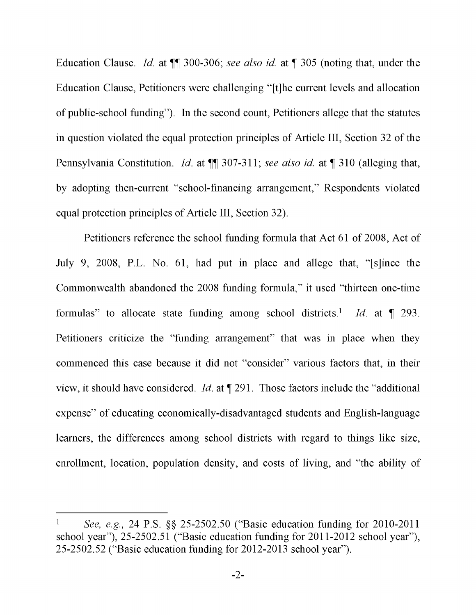Education Clause. Id. at  $\P$  300-306; see also id. at  $\P$  305 (noting that, under the Education Clause, Petitioners were challenging "[t]he current levels and allocation of public -school funding"). In the second count, Petitioners allege that the statutes in question violated the equal protection principles of Article III, Section 32 of the Pennsylvania Constitution. *Id.* at  $\P$  307-311; see also id. at  $\P$  310 (alleging that, by adopting then -current "school -financing arrangement," Respondents violated equal protection principles of Article III, Section 32).

Petitioners reference the school funding formula that Act 61 of 2008, Act of July 9, 2008, P.L. No. 61, had put in place and allege that, "[s]ince the Commonwealth abandoned the 2008 funding formula," it used "thirteen one-time formulas" to allocate state funding among school districts.<sup>1</sup> Id. at  $\P$  293. Petitioners criticize the "funding arrangement" that was in place when they commenced this case because it did not "consider" various factors that, in their view, it should have considered. Id. at ¶ 291. Those factors include the "additional expense" of educating economically -disadvantaged students and English -language learners, the differences among school districts with regard to things like size, enrollment, location, population density, and costs of living, and "the ability of

See, e.g., 24 P.S. §§ 25-2502.50 ("Basic education funding for 2010-2011 school year"), 25-2502.51 ("Basic education funding for 2011-2012 school year"), 25-2502.52 ("Basic education funding for 2012-2013 school year").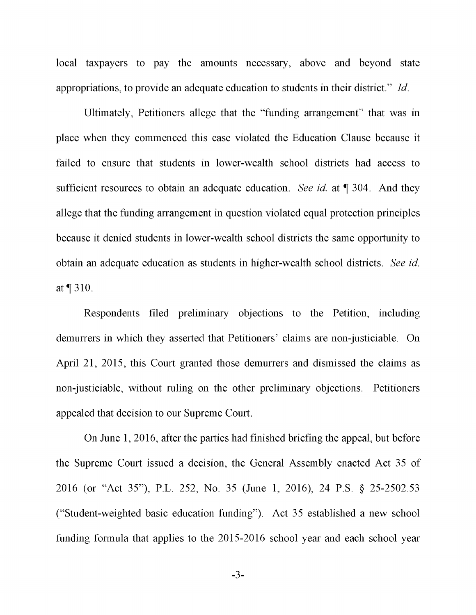local taxpayers to pay the amounts necessary, above and beyond state appropriations, to provide an adequate education to students in their district." Id.

Ultimately, Petitioners allege that the "funding arrangement" that was in place when they commenced this case violated the Education Clause because it failed to ensure that students in lower -wealth school districts had access to sufficient resources to obtain an adequate education. See id. at  $\P$  304. And they allege that the funding arrangement in question violated equal protection principles because it denied students in lower -wealth school districts the same opportunity to obtain an adequate education as students in higher -wealth school districts. See id. at ¶ 310.

Respondents filed preliminary objections to the Petition, including demurrers in which they asserted that Petitioners' claims are non -justiciable. On April 21, 2015, this Court granted those demurrers and dismissed the claims as non -justiciable, without ruling on the other preliminary objections. Petitioners appealed that decision to our Supreme Court.

On June 1, 2016, after the parties had finished briefing the appeal, but before the Supreme Court issued a decision, the General Assembly enacted Act 35 of 2016 (or "Act 35"), P.L. 252, No. 35 (June 1, 2016), 24 P.S. § 25-2502.53 ("Student -weighted basic education funding"). Act 35 established a new school funding formula that applies to the 2015-2016 school year and each school year

-3-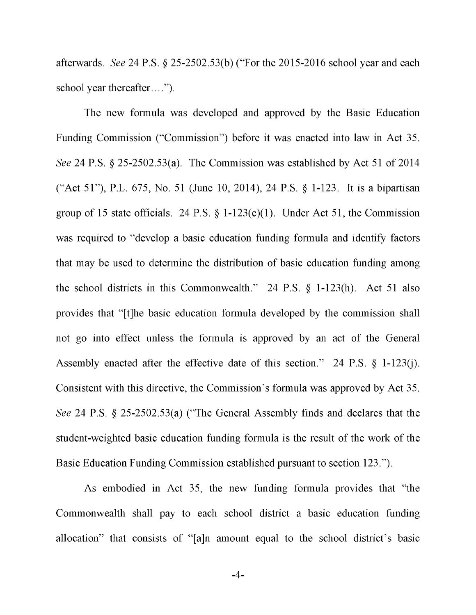afterwards. See 24 P.S. § 25-2502.53(b) ("For the 2015-2016 school year and each school year thereafter....").

The new formula was developed and approved by the Basic Education Funding Commission ("Commission") before it was enacted into law in Act 35. See 24 P.S. § 25-2502.53(a). The Commission was established by Act 51 of 2014 ("Act 51"), P.L. 675, No. 51 (June 10, 2014), 24 P.S. § 1-123. It is a bipartisan group of 15 state officials. 24 P.S.  $\S$  1-123(c)(1). Under Act 51, the Commission was required to "develop a basic education funding formula and identify factors that may be used to determine the distribution of basic education funding among the school districts in this Commonwealth." 24 P.S. § 1-123(h). Act 51 also provides that "[t]he basic education formula developed by the commission shall not go into effect unless the formula is approved by an act of the General Assembly enacted after the effective date of this section." 24 P.S. § 1-123(j). Consistent with this directive, the Commission's formula was approved by Act 35. See 24 P.S. § 25-2502.53(a) ("The General Assembly finds and declares that the student -weighted basic education funding formula is the result of the work of the Basic Education Funding Commission established pursuant to section 123.").

As embodied in Act 35, the new funding formula provides that "the Commonwealth shall pay to each school district a basic education funding allocation" that consists of "[a]n amount equal to the school district's basic

-4-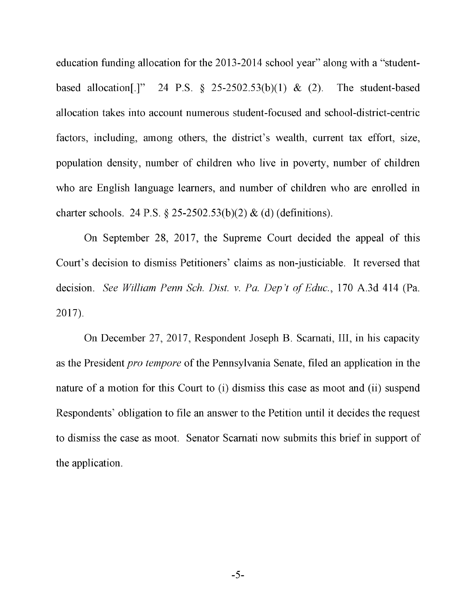education funding allocation for the 2013-2014 school year" along with a "studentbased allocation[.]" 24 P.S.  $\S$  25-2502.53(b)(1) & (2). The student-based allocation takes into account numerous student -focused and school -district -centric factors, including, among others, the district's wealth, current tax effort, size, population density, number of children who live in poverty, number of children who are English language learners, and number of children who are enrolled in charter schools. 24 P.S. § 25-2502.53(b)(2) & (d) (definitions).

On September 28, 2017, the Supreme Court decided the appeal of this Court's decision to dismiss Petitioners' claims as non -justiciable. It reversed that decision. See William Penn Sch. Dist. v. Pa. Dep't of Educ., 170 A.3d 414 (Pa. 2017).

On December 27, 2017, Respondent Joseph B. Scamati, III, in his capacity as the President pro tempore of the Pennsylvania Senate, filed an application in the nature of a motion for this Court to (i) dismiss this case as moot and (ii) suspend Respondents' obligation to file an answer to the Petition until it decides the request to dismiss the case as moot. Senator Scamati now submits this brief in support of the application.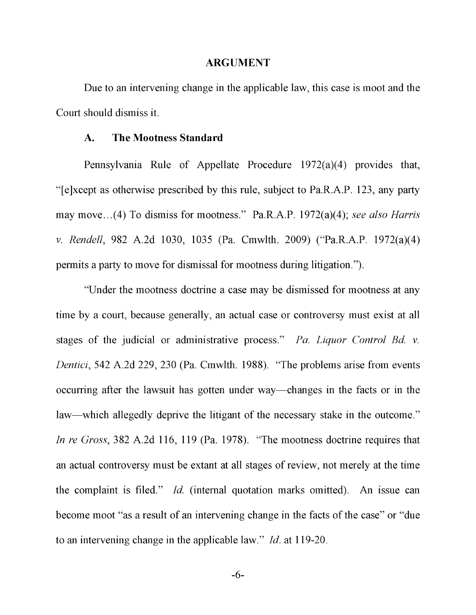#### ARGUMENT

Due to an intervening change in the applicable law, this case is moot and the Court should dismiss it.

#### A. The Mootness Standard

Pennsylvania Rule of Appellate Procedure 1972(a)(4) provides that, "[e]xcept as otherwise prescribed by this rule, subject to Pa.R.A.P. 123, any party may move... (4) To dismiss for mootness." Pa.R.A.P. 1972(a)(4); see also Harris v. Rendell, 982 A.2d 1030, 1035 (Pa. Cmwlth. 2009) ("Pa.R.A.P. 1972(a)(4) permits a party to move for dismissal for mootness during litigation.").

"Under the mootness doctrine a case may be dismissed for mootness at any time by a court, because generally, an actual case or controversy must exist at all stages of the judicial or administrative process." Pa. Liquor Control Bd. v. Dentici, 542 A.2d 229, 230 (Pa. Cmwlth. 1988). "The problems arise from events occurring after the lawsuit has gotten under way-changes in the facts or in the law—which allegedly deprive the litigant of the necessary stake in the outcome." In re Gross, 382 A.2d 116, 119 (Pa. 1978). "The mootness doctrine requires that an actual controversy must be extant at all stages of review, not merely at the time the complaint is filed." Id. (internal quotation marks omitted). An issue can become moot "as a result of an intervening change in the facts of the case" or "due to an intervening change in the applicable law." Id. at 119-20.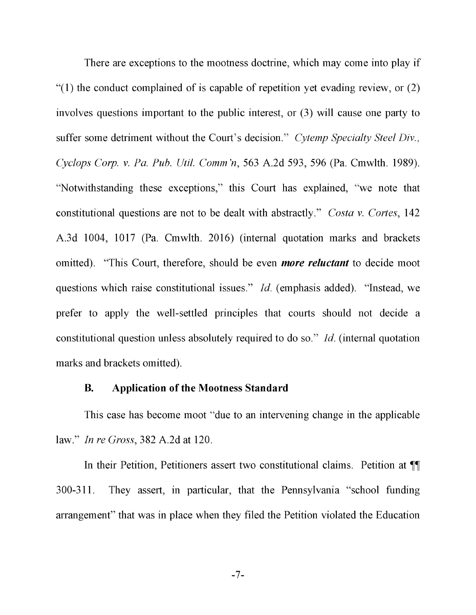There are exceptions to the mootness doctrine, which may come into play if  $(1)$  the conduct complained of is capable of repetition yet evading review, or  $(2)$ involves questions important to the public interest, or (3) will cause one party to suffer some detriment without the Court's decision." Cytemp Specialty Steel Div., Cyclops Corp. v. Pa. Pub. Util. Comm 'n, 563 A.2d 593, 596 (Pa. Cmwlth. 1989). "Notwithstanding these exceptions," this Court has explained, "we note that constitutional questions are not to be dealt with abstractly." Costa v. Cortes, 142 A.3d 1004, 1017 (Pa. Cmwlth. 2016) (internal quotation marks and brackets omitted). "This Court, therefore, should be even *more reluctant* to decide moot questions which raise constitutional issues." Id. (emphasis added). "Instead, we prefer to apply the well-settled principles that courts should not decide a constitutional question unless absolutely required to do so." Id. (internal quotation marks and brackets omitted).

#### B. Application of the Mootness Standard

This case has become moot "due to an intervening change in the applicable law." In re Gross, 382 A.2d at 120.

In their Petition, Petitioners assert two constitutional claims. Petition at ¶¶ 300-311. They assert, in particular, that the Pennsylvania "school funding arrangement" that was in place when they filed the Petition violated the Education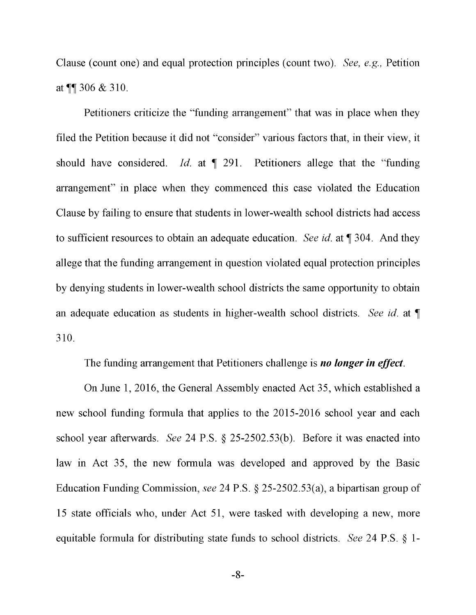Clause (count one) and equal protection principles (count two). See, e.g., Petition at ¶¶ 306 & 310.

Petitioners criticize the "funding arrangement" that was in place when they filed the Petition because it did not "consider" various factors that, in their view, it should have considered. Id. at  $\P$  291. Petitioners allege that the "funding" arrangement" in place when they commenced this case violated the Education Clause by failing to ensure that students in lower -wealth school districts had access to sufficient resources to obtain an adequate education. See id. at ¶ 304. And they allege that the funding arrangement in question violated equal protection principles by denying students in lower -wealth school districts the same opportunity to obtain an adequate education as students in higher-wealth school districts. See id. at  $\P$ 310.

The funding arrangement that Petitioners challenge is *no longer in effect*.

On June 1, 2016, the General Assembly enacted Act 35, which established a new school funding formula that applies to the 2015-2016 school year and each school year afterwards. See 24 P.S. § 25-2502.53(b). Before it was enacted into law in Act 35, the new formula was developed and approved by the Basic Education Funding Commission, see 24 P.S. § 25-2502.53(a), a bipartisan group of 15 state officials who, under Act 51, were tasked with developing a new, more equitable formula for distributing state funds to school districts. See 24 P.S. § 1-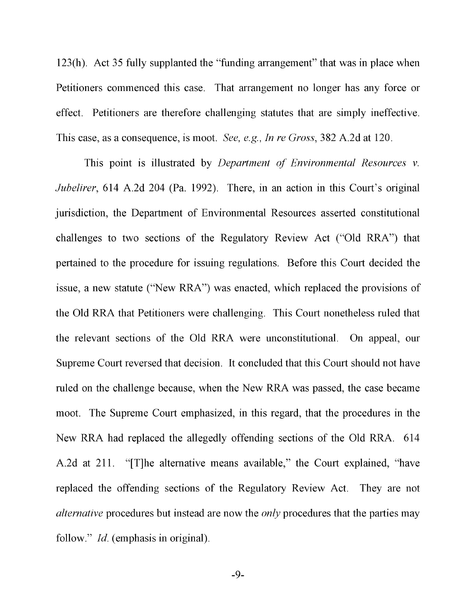123(h). Act 35 fully supplanted the "funding arrangement" that was in place when Petitioners commenced this case. That arrangement no longer has any force or effect. Petitioners are therefore challenging statutes that are simply ineffective. This case, as a consequence, is moot. See, e.g., In re Gross, 382 A.2d at 120.

This point is illustrated by *Department of Environmental Resources v.* Jubelirer, 614 A.2d 204 (Pa. 1992). There, in an action in this Court's original jurisdiction, the Department of Environmental Resources asserted constitutional challenges to two sections of the Regulatory Review Act ("Old RRA") that pertained to the procedure for issuing regulations. Before this Court decided the issue, a new statute ("New RRA") was enacted, which replaced the provisions of the Old RRA that Petitioners were challenging. This Court nonetheless ruled that the relevant sections of the Old RRA were unconstitutional. On appeal, our Supreme Court reversed that decision. It concluded that this Court should not have ruled on the challenge because, when the New RRA was passed, the case became moot. The Supreme Court emphasized, in this regard, that the procedures in the New RRA had replaced the allegedly offending sections of the Old RRA. 614 A.2d at 211. "[T]he alternative means available," the Court explained, "have replaced the offending sections of the Regulatory Review Act. They are not alternative procedures but instead are now the only procedures that the parties may follow." *Id.* (emphasis in original).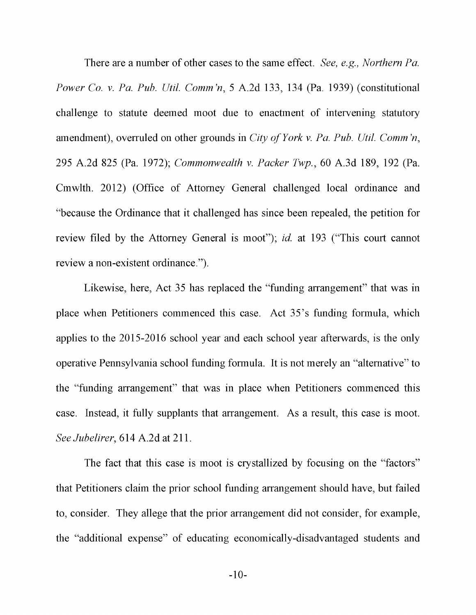There are a number of other cases to the same effect. See, e.g., Northern Pa. Power Co. v. Pa. Pub. Util. Comm 'n, 5 A.2d 133, 134 (Pa. 1939) (constitutional challenge to statute deemed moot due to enactment of intervening statutory amendment), overruled on other grounds in City of York v. Pa. Pub. Util. Comm 'n, 295 A.2d 825 (Pa. 1972); Commonwealth v. Packer Twp., 60 A.3d 189, 192 (Pa. Cmwlth. 2012) (Office of Attorney General challenged local ordinance and "because the Ordinance that it challenged has since been repealed, the petition for review filed by the Attorney General is moot"); *id.* at 193 ("This court cannot review a non-existent ordinance.").

Likewise, here, Act 35 has replaced the "funding arrangement" that was in place when Petitioners commenced this case. Act 35's funding formula, which applies to the 2015-2016 school year and each school year afterwards, is the only operative Pennsylvania school funding formula. It is not merely an "alternative" to the "funding arrangement" that was in place when Petitioners commenced this case. Instead, it fully supplants that arrangement. As a result, this case is moot. See Jubelirer, 614 A.2d at 211.

The fact that this case is moot is crystallized by focusing on the "factors" that Petitioners claim the prior school funding arrangement should have, but failed to, consider. They allege that the prior arrangement did not consider, for example, the "additional expense" of educating economically -disadvantaged students and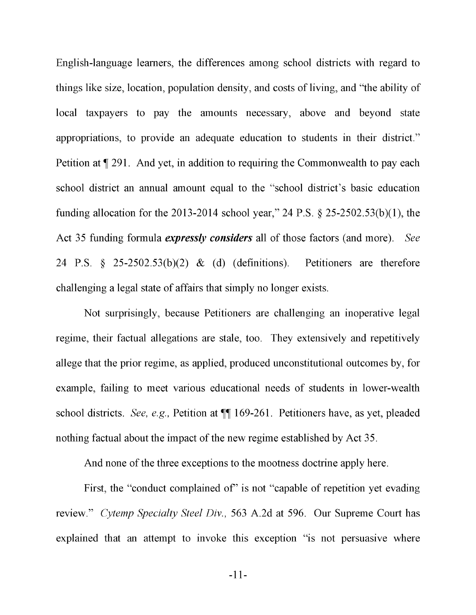English -language learners, the differences among school districts with regard to things like size, location, population density, and costs of living, and "the ability of local taxpayers to pay the amounts necessary, above and beyond state appropriations, to provide an adequate education to students in their district." Petition at ¶ 291. And yet, in addition to requiring the Commonwealth to pay each school district an annual amount equal to the "school district's basic education funding allocation for the 2013-2014 school year," 24 P.S. § 25-2502.53(b)(1), the Act 35 funding formula *expressly considers* all of those factors (and more). See 24 P.S. § 25-2502.53(b)(2) & (d) (definitions). Petitioners are therefore challenging a legal state of affairs that simply no longer exists.

Not surprisingly, because Petitioners are challenging an inoperative legal regime, their factual allegations are stale, too. They extensively and repetitively allege that the prior regime, as applied, produced unconstitutional outcomes by, for example, failing to meet various educational needs of students in lower -wealth school districts. See, e.g., Petition at ¶¶ 169-261. Petitioners have, as yet, pleaded nothing factual about the impact of the new regime established by Act 35.

And none of the three exceptions to the mootness doctrine apply here.

First, the "conduct complained of" is not "capable of repetition yet evading review." Cytemp Specialty Steel Div., 563 A.2d at 596. Our Supreme Court has explained that an attempt to invoke this exception "is not persuasive where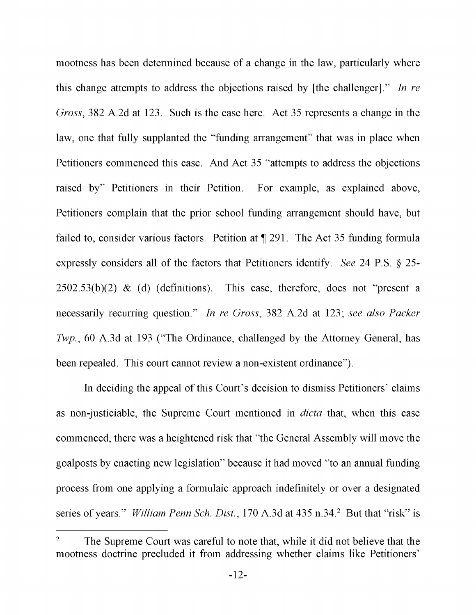mootness has been determined because of a change in the law, particularly where this change attempts to address the objections raised by [the challenger]." In re Gross, 382 A.2d at 123. Such is the case here. Act 35 represents a change in the law, one that fully supplanted the "funding arrangement" that was in place when Petitioners commenced this case. And Act 35 "attempts to address the objections raised by" Petitioners in their Petition. For example, as explained above, Petitioners complain that the prior school funding arrangement should have, but failed to, consider various factors. Petition at ¶ 291. The Act 35 funding formula expressly considers all of the factors that Petitioners identify. See 24 P.S. § 25-  $2502.53(b)(2)$  & (d) (definitions). This case, therefore, does not "present a necessarily recurring question." In re Gross, 382 A.2d at 123; see also Packer Twp., 60 A.3d at 193 ("The Ordinance, challenged by the Attorney General, has been repealed. This court cannot review a non-existent ordinance").

In deciding the appeal of this Court's decision to dismiss Petitioners' claims as non-justiciable, the Supreme Court mentioned in *dicta* that, when this case commenced, there was a heightened risk that "the General Assembly will move the goalposts by enacting new legislation" because it had moved "to an annual funding process from one applying a formulaic approach indefinitely or over a designated series of years." *William Penn Sch. Dist.*, 170 A.3d at 435 n.34.<sup>2</sup> But that "risk" is

<sup>&</sup>lt;sup>2</sup> The Supreme Court was careful to note that, while it did not believe that the mootness doctrine precluded it from addressing whether claims like Petitioners'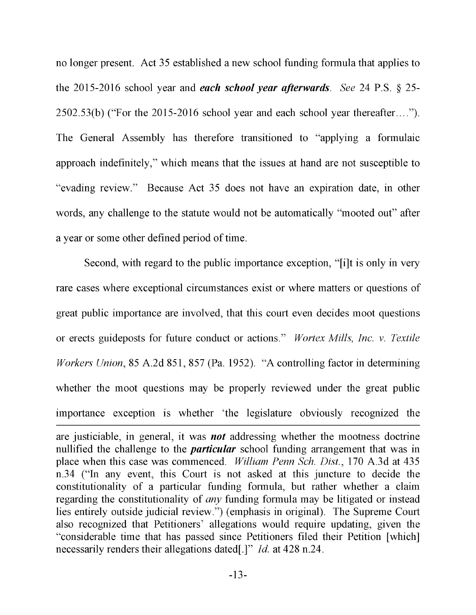no longer present. Act 35 established a new school funding formula that applies to the 2015-2016 school year and each school year afterwards. See 24 P.S.  $\S$  25-2502.53(b) ("For the 2015-2016 school year and each school year thereafter...."). The General Assembly has therefore transitioned to "applying a formulaic approach indefinitely," which means that the issues at hand are not susceptible to "evading review." Because Act 35 does not have an expiration date, in other words, any challenge to the statute would not be automatically "mooted out" after a year or some other defined period of time.

Second, with regard to the public importance exception, "[i]t is only in very rare cases where exceptional circumstances exist or where matters or questions of great public importance are involved, that this court even decides moot questions or erects guideposts for future conduct or actions." Wortex Mills, Inc. v. Textile Workers Union, 85 A.2d 851, 857 (Pa. 1952). "A controlling factor in determining whether the moot questions may be properly reviewed under the great public importance exception is whether 'the legislature obviously recognized the are justiciable, in general, it was not addressing whether the mootness doctrine nullified the challenge to the *particular* school funding arrangement that was in place when this case was commenced. William Penn Sch. Dist., 170 A.3d at 435 n.34 ("In any event, this Court is not asked at this juncture to decide the constitutionality of a particular funding formula, but rather whether a claim

regarding the constitutionality of any funding formula may be litigated or instead lies entirely outside judicial review.") (emphasis in original). The Supreme Court also recognized that Petitioners' allegations would require updating, given the "considerable time that has passed since Petitioners filed their Petition [which] necessarily renders their allegations dated[.]" *Id.* at 428 n.24.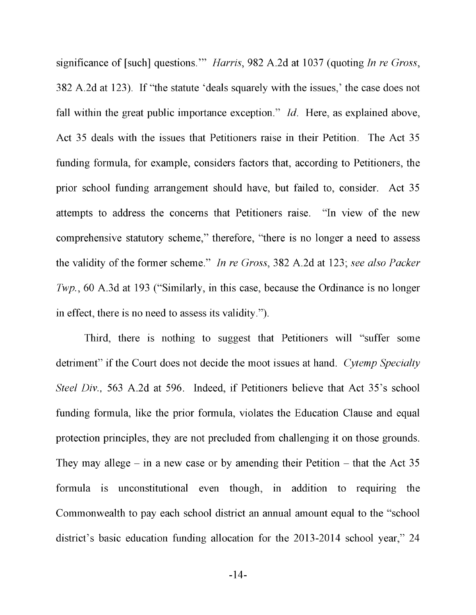significance of [such] questions."" *Harris*, 982 A.2d at 1037 (quoting *In re Gross*, 382 A.2d at 123). If "the statute 'deals squarely with the issues,' the case does not fall within the great public importance exception." *Id.* Here, as explained above, Act 35 deals with the issues that Petitioners raise in their Petition. The Act 35 funding formula, for example, considers factors that, according to Petitioners, the prior school funding arrangement should have, but failed to, consider. Act 35 attempts to address the concerns that Petitioners raise. "In view of the new comprehensive statutory scheme," therefore, "there is no longer a need to assess the validity of the former scheme." In re Gross, 382 A.2d at 123; see also Packer Twp., 60 A.3d at 193 ("Similarly, in this case, because the Ordinance is no longer in effect, there is no need to assess its validity.").

Third, there is nothing to suggest that Petitioners will "suffer some detriment" if the Court does not decide the moot issues at hand. Cytemp Specialty Steel Div., 563 A.2d at 596. Indeed, if Petitioners believe that Act 35's school funding formula, like the prior formula, violates the Education Clause and equal protection principles, they are not precluded from challenging it on those grounds. They may allege  $-$  in a new case or by amending their Petition  $-$  that the Act 35 formula is unconstitutional even though, in addition to requiring the Commonwealth to pay each school district an annual amount equal to the "school district's basic education funding allocation for the 2013-2014 school year," 24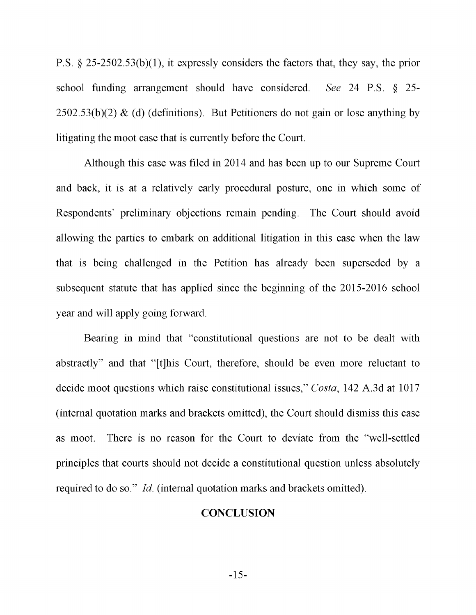P.S. § 25-2502.53(b)(1), it expressly considers the factors that, they say, the prior school funding arrangement should have considered. See 24 P.S. § 25-  $2502.53(b)(2)$  & (d) (definitions). But Petitioners do not gain or lose anything by litigating the moot case that is currently before the Court.

Although this case was filed in 2014 and has been up to our Supreme Court and back, it is at a relatively early procedural posture, one in which some of Respondents' preliminary objections remain pending. The Court should avoid allowing the parties to embark on additional litigation in this case when the law that is being challenged in the Petition has already been superseded by a subsequent statute that has applied since the beginning of the 2015-2016 school year and will apply going forward.

Bearing in mind that "constitutional questions are not to be dealt with abstractly" and that "[t]his Court, therefore, should be even more reluctant to decide moot questions which raise constitutional issues," Costa, 142 A.3d at 1017 (internal quotation marks and brackets omitted), the Court should dismiss this case as moot. There is no reason for the Court to deviate from the "well-settled principles that courts should not decide a constitutional question unless absolutely required to do so." Id. (internal quotation marks and brackets omitted).

### **CONCLUSION**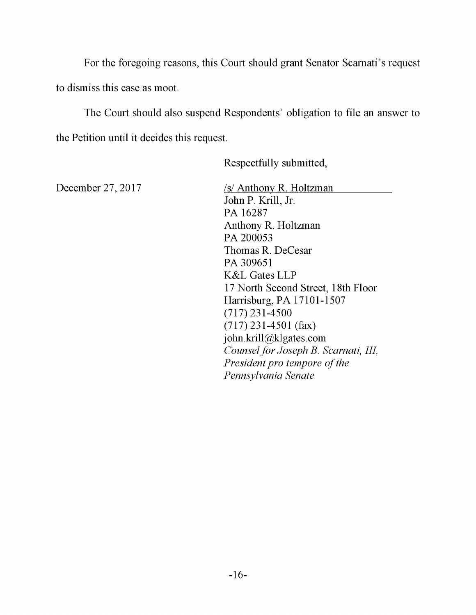For the foregoing reasons, this Court should grant Senator Scamati's request to dismiss this case as moot.

The Court should also suspend Respondents' obligation to file an answer to the Petition until it decides this request.

Respectfully submitted,

December 27, 2017 /s/ Anthony R. Holtzman John P. Krill, Jr. PA 16287 Anthony R. Holtzman PA 200053 Thomas R. DeCesar PA 309651 K&L Gates LLP 17 North Second Street, 18th Floor Harrisburg, PA 17101-1507 (717) 231-4500 (717) 231-4501 (fax) john.krill@klgates.com Counsel for Joseph B. Scarnati, III, President pro tempore of the Pennsylvania Senate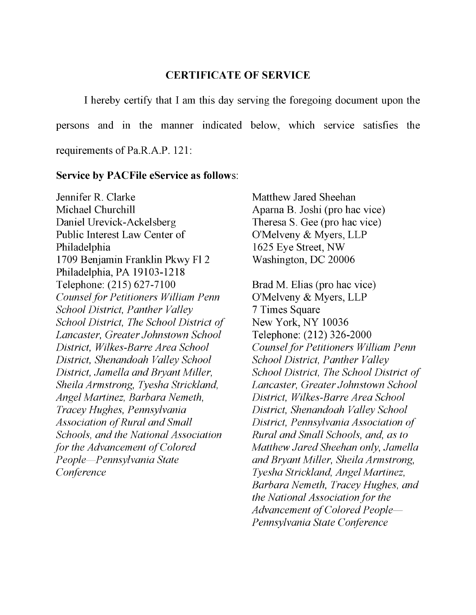### CERTIFICATE OF SERVICE

I hereby certify that I am this day serving the foregoing document upon the persons and in the manner indicated below, which service satisfies the requirements of Pa.R.A.P. 121:

#### Service by PACFile eService as follows:

Jennifer R. Clarke Michael Churchill Daniel Urevick-Ackelsberg Public Interest Law Center of Philadelphia 1709 Benjamin Franklin Pkwy Fl 2 Philadelphia, PA 19103-1218 Telephone: (215) 627-7100 Counsel for Petitioners William Penn School District, Panther Valley School District, The School District of Lancaster, Greater Johnstown School District, Wilkes-Barre Area School District, Shenandoah Valley School District, Jamella and Bryant Miller, Sheila Armstrong, Tyesha Strickland, Angel Martinez, Barbara Nemeth, Tracey Hughes, Pennsylvania Association of Rural and Small Schools, and the National Association for the Advancement of Colored People-Pennsylvania State **Conference** 

Matthew Jared Sheehan Apama B. Joshi (pro hac vice) Theresa S. Gee (pro hac vice) O'Melveny & Myers, LLP 1625 Eye Street, NW Washington, DC 20006

Brad M. Elias (pro hac vice) O'Melveny & Myers, LLP 7 Times Square New York, NY 10036 Telephone: (212) 326-2000 Counsel for Petitioners William Penn School District, Panther Valley School District, The School District of Lancaster, Greater Johnstown School District, Wilkes-Barre Area School District, Shenandoah Valley School District, Pennsylvania Association of Rural and Small Schools, and, as to Matthew Jared Sheehan only, Jamella and Bryant Miller, Sheila Armstrong, Tyesha Strickland, Angel Martinez, Barbara Nemeth, Tracey Hughes, and the National Association for the Advancement of Colored People Pennsylvania State Conference